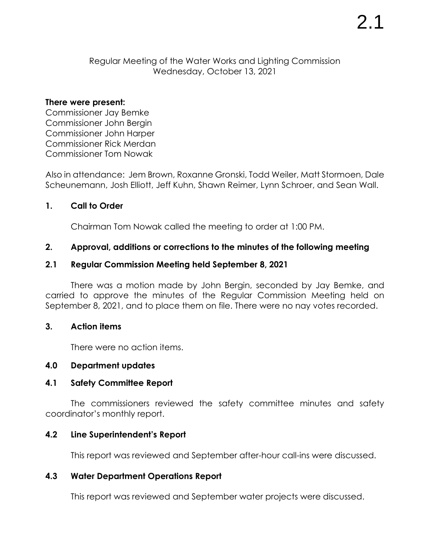Regular Meeting of the Water Works and Lighting Commission Wednesday, October 13, 2021

#### **There were present:**

Commissioner Jay Bemke Commissioner John Bergin Commissioner John Harper Commissioner Rick Merdan Commissioner Tom Nowak

Also in attendance: Jem Brown, Roxanne Gronski, Todd Weiler, Matt Stormoen, Dale Scheunemann, Josh Elliott, Jeff Kuhn, Shawn Reimer, Lynn Schroer, and Sean Wall.

### **1. Call to Order**

Chairman Tom Nowak called the meeting to order at 1:00 PM.

## **2. Approval, additions or corrections to the minutes of the following meeting**

### **2.1 Regular Commission Meeting held September 8, 2021**

There was a motion made by John Bergin, seconded by Jay Bemke, and carried to approve the minutes of the Regular Commission Meeting held on September 8, 2021, and to place them on file. There were no nay votes recorded.

#### **3. Action items**

There were no action items.

## **4.0 Department updates**

### **4.1 Safety Committee Report**

The commissioners reviewed the safety committee minutes and safety coordinator's monthly report.

### **4.2 Line Superintendent's Report**

This report was reviewed and September after-hour call-ins were discussed.

## **4.3 Water Department Operations Report**

This report was reviewed and September water projects were discussed.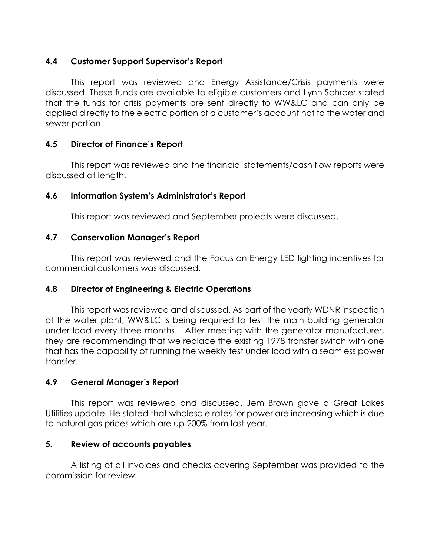## **4.4 Customer Support Supervisor's Report**

This report was reviewed and Energy Assistance/Crisis payments were discussed. These funds are available to eligible customers and Lynn Schroer stated that the funds for crisis payments are sent directly to WW&LC and can only be applied directly to the electric portion of a customer's account not to the water and sewer portion.

## **4.5 Director of Finance's Report**

This report was reviewed and the financial statements/cash flow reports were discussed at length.

# **4.6 Information System's Administrator's Report**

This report was reviewed and September projects were discussed.

# **4.7 Conservation Manager's Report**

This report was reviewed and the Focus on Energy LED lighting incentives for commercial customers was discussed.

# **4.8 Director of Engineering & Electric Operations**

This report was reviewed and discussed. As part of the yearly WDNR inspection of the water plant, WW&LC is being required to test the main building generator under load every three months. After meeting with the generator manufacturer, they are recommending that we replace the existing 1978 transfer switch with one that has the capability of running the weekly test under load with a seamless power transfer.

# **4.9 General Manager's Report**

This report was reviewed and discussed. Jem Brown gave a Great Lakes Utilities update. He stated that wholesale rates for power are increasing which is due to natural gas prices which are up 200% from last year.

## **5. Review of accounts payables**

A listing of all invoices and checks covering September was provided to the commission for review.